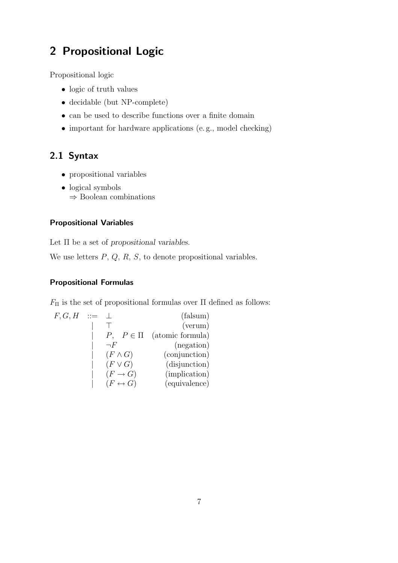# 2 Propositional Logic

Propositional logic

- logic of truth values
- decidable (but NP-complete)
- can be used to describe functions over a finite domain
- important for hardware applications (e.g., model checking)

# 2.1 Syntax

- propositional variables
- logical symbols ⇒ Boolean combinations

#### Propositional Variables

Let Π be a set of *propositional variables*.

We use letters  $P$ ,  $Q$ ,  $R$ ,  $S$ , to denote propositional variables.

### Propositional Formulas

 $F_{\Pi}$  is the set of propositional formulas over  $\Pi$  defined as follows:

| F, G, H | $\cdots =$ |                         | (falsum)                        |
|---------|------------|-------------------------|---------------------------------|
|         |            |                         | (verum)                         |
|         |            |                         | $P, P \in \Pi$ (atomic formula) |
|         |            | $\neg F$                | (negation)                      |
|         |            | $(F \wedge G)$          | (conjunction)                   |
|         |            | $(F\vee G)$             | (disjunction)                   |
|         |            | $(F \to G)$             | (implication)                   |
|         |            | $(F \leftrightarrow G)$ | (equivalence)                   |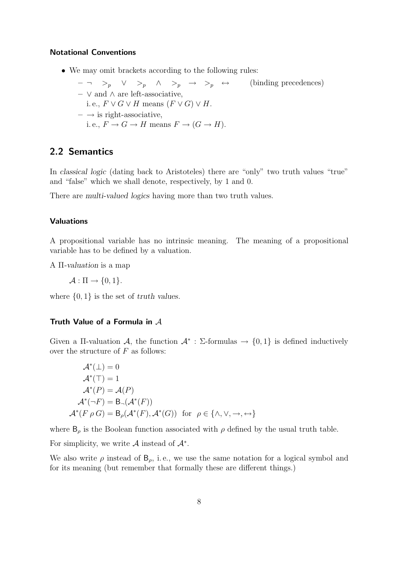#### Notational Conventions

- We may omit brackets according to the following rules:
	- $-$  ¬ ><sub>p</sub> ∨ ><sub>p</sub> ∧ ><sub>p</sub> → ><sub>p</sub> ↔ (binding precedences) – ∨ and ∧ are left-associative,
	- i. e.,  $F \vee G \vee H$  means  $(F \vee G) \vee H$ .
	- $\rightarrow$  is right-associative,
		- i. e.,  $F \to G \to H$  means  $F \to (G \to H)$ .

## 2.2 Semantics

In *classical logic* (dating back to Aristoteles) there are "only" two truth values "true" and "false" which we shall denote, respectively, by 1 and 0.

There are *multi-valued logics* having more than two truth values.

#### Valuations

A propositional variable has no intrinsic meaning. The meaning of a propositional variable has to be defined by a valuation.

A Π*-valuation* is a map

 $\mathcal{A} : \Pi \rightarrow \{0, 1\}.$ 

where {0, 1} is the set of *truth values*.

#### Truth Value of a Formula in A

Given a II-valuation  $\mathcal{A}$ , the function  $\mathcal{A}^*$ :  $\Sigma$ -formulas  $\rightarrow$  {0, 1} is defined inductively over the structure of  $F$  as follows:

$$
\mathcal{A}^*(\bot) = 0
$$
  
\n
$$
\mathcal{A}^*(\top) = 1
$$
  
\n
$$
\mathcal{A}^*(P) = \mathcal{A}(P)
$$
  
\n
$$
\mathcal{A}^*(\neg F) = \mathcal{B}(\mathcal{A}^*(F))
$$
  
\n
$$
\mathcal{A}^*(F \rho G) = \mathcal{B}_{\rho}(\mathcal{A}^*(F), \mathcal{A}^*(G)) \text{ for } \rho \in \{\wedge, \vee, \to, \leftrightarrow\}
$$

where  $B_{\rho}$  is the Boolean function associated with  $\rho$  defined by the usual truth table.

For simplicity, we write  $A$  instead of  $A^*$ .

We also write  $\rho$  instead of  $B_{\rho}$ , i.e., we use the same notation for a logical symbol and for its meaning (but remember that formally these are different things.)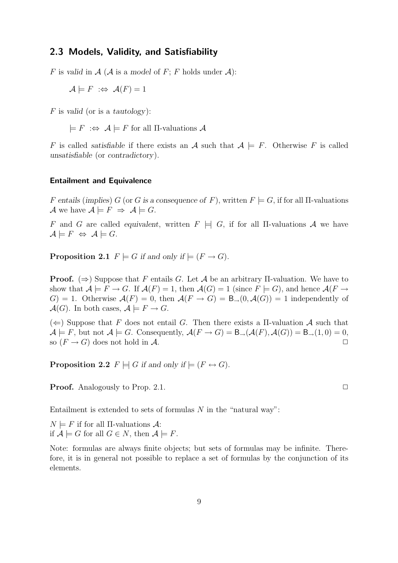#### 2.3 Models, Validity, and Satisfiability

F is valid in  $\mathcal A$  ( $\mathcal A$  is a model of F; F holds under  $\mathcal A$ ):

 $\mathcal{A} \models F \Leftrightarrow \mathcal{A}(F) = 1$ 

F is *valid* (or is a *tautology*):

 $\models F \Leftrightarrow \mathcal{A} \models F$  for all  $\Pi$ -valuations  $\mathcal{A}$ 

F is called *satisfiable* if there exists an A such that  $A \models F$ . Otherwise F is called *unsatisfiable* (or *contradictory*).

#### Entailment and Equivalence

F entails (implies) G (or G is a consequence of F), written  $F \models G$ , if for all  $\Pi$ -valuations A we have  $A \models F \Rightarrow A \models G$ .

F and G are called *equivalent*, written  $F \models G$ , if for all II-valuations A we have  $\mathcal{A} \models F \Leftrightarrow \mathcal{A} \models G.$ 

**Proposition 2.1**  $F \models G$  if and only if  $\models (F \rightarrow G)$ .

**Proof.** ( $\Rightarrow$ ) Suppose that F entails G. Let A be an arbitrary II-valuation. We have to show that  $\mathcal{A} \models F \to G$ . If  $\mathcal{A}(F) = 1$ , then  $\mathcal{A}(G) = 1$  (since  $F \models G$ ), and hence  $\mathcal{A}(F \to G)$  $G$  = 1. Otherwise  $\mathcal{A}(F) = 0$ , then  $\mathcal{A}(F \to G) = \mathsf{B}_{\to}(0, \mathcal{A}(G)) = 1$  independently of  $\mathcal{A}(G)$ . In both cases,  $\mathcal{A} \models F \to G$ .

 $(\Leftarrow)$  Suppose that F does not entail G. Then there exists a II-valuation A such that  $\mathcal{A} \models F$ , but not  $\mathcal{A} \models G$ . Consequently,  $\mathcal{A}(F \rightarrow G) = \mathsf{B}_{\rightarrow}(\mathcal{A}(F), \mathcal{A}(G)) = \mathsf{B}_{\rightarrow}(1, 0) = 0$ , so  $(F \to G)$  does not hold in A.

**Proposition 2.2**  $F \models G$  *if and only if*  $\models (F \leftrightarrow G)$ *.* 

**Proof.** Analogously to Prop. 2.1.  $\Box$ 

Entailment is extended to sets of formulas  $N$  in the "natural way":

 $N \models F$  if for all II-valuations  $\mathcal{A}$ : if  $\mathcal{A} \models G$  for all  $G \in N$ , then  $\mathcal{A} \models F$ .

Note: formulas are always finite objects; but sets of formulas may be infinite. Therefore, it is in general not possible to replace a set of formulas by the conjunction of its elements.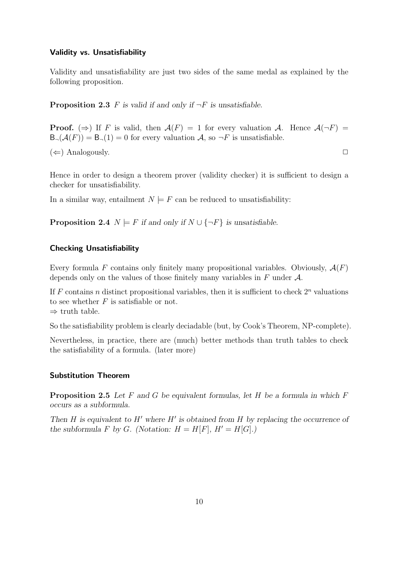#### Validity vs. Unsatisfiability

Validity and unsatisfiability are just two sides of the same medal as explained by the following proposition.

**Proposition 2.3** F is valid if and only if  $\neg F$  is unsatisfiable.

**Proof.** ( $\Rightarrow$ ) If F is valid, then  $\mathcal{A}(F) = 1$  for every valuation A. Hence  $\mathcal{A}(\neg F) =$  $B_{\neg}(\mathcal{A}(F)) = B_{\neg}(1) = 0$  for every valuation A, so  $\neg F$  is unsatisfiable.  $(\Leftarrow)$  Analogously.

Hence in order to design a theorem prover (validity checker) it is sufficient to design a checker for unsatisfiability.

In a similar way, entailment  $N \models F$  can be reduced to unsatisfiability:

**Proposition 2.4**  $N \models F$  *if and only if*  $N \cup \{\neg F\}$  *is unsatisfiable.* 

#### Checking Unsatisfiability

Every formula F contains only finitely many propositional variables. Obviously,  $\mathcal{A}(F)$ depends only on the values of those finitely many variables in  $F$  under  $\mathcal{A}$ .

If F contains n distinct propositional variables, then it is sufficient to check  $2^n$  valuations to see whether  $F$  is satisfiable or not.  $\Rightarrow$  truth table.

So the satisfiability problem is clearly deciadable (but, by Cook's Theorem, NP-complete).

Nevertheless, in practice, there are (much) better methods than truth tables to check the satisfiability of a formula. (later more)

#### Substitution Theorem

Proposition 2.5 *Let* F *and* G *be equivalent formulas, let* H *be a formula in which* F *occurs as a subformula.*

*Then* H *is equivalent to* H′ *where* H′ *is obtained from* H *by replacing the occurrence of the subformula* F *by* G. (Notation:  $H = H[F]$ ,  $H' = H[G]$ .)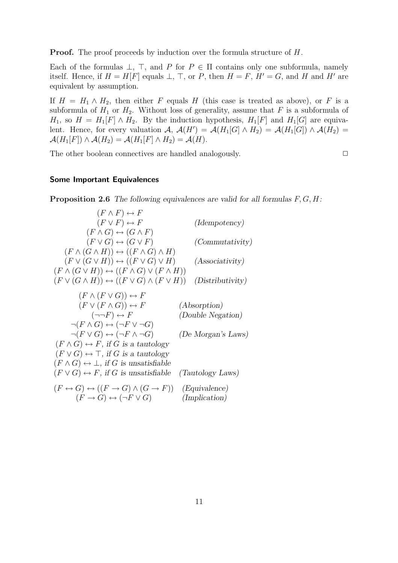**Proof.** The proof proceeds by induction over the formula structure of H.

Each of the formulas  $\bot$ ,  $\top$ , and P for P ∈  $\Pi$  contains only one subformula, namely itself. Hence, if  $H = H[F]$  equals  $\bot$ ,  $\top$ , or P, then  $H = F$ ,  $H' = G$ , and H and H' are equivalent by assumption.

If  $H = H_1 \wedge H_2$ , then either F equals H (this case is treated as above), or F is a subformula of  $H_1$  or  $H_2$ . Without loss of generality, assume that F is a subformula of  $H_1$ , so  $H = H_1[F] \wedge H_2$ . By the induction hypothesis,  $H_1[F]$  and  $H_1[G]$  are equivalent. Hence, for every valuation  $\mathcal{A}, \mathcal{A}(H') = \mathcal{A}(H_1[G] \wedge H_2) = \mathcal{A}(H_1[G]) \wedge \mathcal{A}(H_2) =$  $\mathcal{A}(H_1[F]) \wedge \mathcal{A}(H_2) = \mathcal{A}(H_1[F] \wedge H_2) = \mathcal{A}(H).$ 

The other boolean connectives are handled analogously.  $\Box$ 

#### Some Important Equivalences

Proposition 2.6 *The following equivalences are valid for all formulas* F, G, H*:*

| $(F \wedge F) \leftrightarrow F$                                                  |                        |
|-----------------------------------------------------------------------------------|------------------------|
| $(F \vee F) \leftrightarrow F$                                                    | (Idempotency)          |
| $(F \wedge G) \leftrightarrow (G \wedge F)$                                       |                        |
| $(F \vee G) \leftrightarrow (G \vee F)$                                           | <i>(Commutativity)</i> |
| $(F \wedge (G \wedge H)) \leftrightarrow ((F \wedge G) \wedge H)$                 |                        |
| $(F \vee (G \vee H)) \leftrightarrow ((F \vee G) \vee H)$                         | (Associativity)        |
| $(F \wedge (G \vee H)) \leftrightarrow ((F \wedge G) \vee (F \wedge H))$          |                        |
| $(F \vee (G \wedge H)) \leftrightarrow ((F \vee G) \wedge (F \vee H))$            | (Distributivity)       |
|                                                                                   |                        |
| $(F \wedge (F \vee G)) \leftrightarrow F$                                         |                        |
| $(F \vee (F \wedge G)) \leftrightarrow F$                                         | (Absorption)           |
| $(\neg\neg F) \leftrightarrow F$                                                  | (Double Negation)      |
| $\neg(F \wedge G) \leftrightarrow (\neg F \vee \neg G)$                           |                        |
| $\neg(F \vee G) \leftrightarrow (\neg F \wedge \neg G)$                           | (De Morgan's Laws)     |
| $(F \wedge G) \leftrightarrow F$ , if G is a tautology                            |                        |
| $(F \vee G) \leftrightarrow \top$ , if G is a tautology                           |                        |
| $(F \wedge G) \leftrightarrow \bot$ , if G is unsatisfiable                       |                        |
| $(F \vee G) \leftrightarrow F$ , if G is unsatisfiable                            | (Tautology Laws)       |
| $(F \leftrightarrow G) \leftrightarrow ((F \to G) \land (G \to F))$ (Equivalence) |                        |
| $(F \to G) \leftrightarrow (\neg F \vee G)$                                       | ( <i>Implication</i> ) |
|                                                                                   |                        |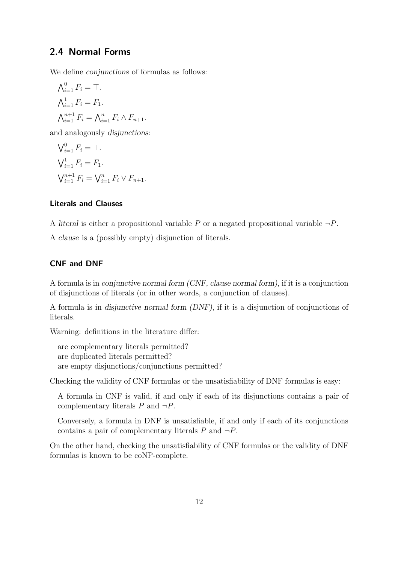### 2.4 Normal Forms

We define *conjunctions* of formulas as follows:

$$
\begin{aligned} \bigwedge_{i=1}^{0} F_i &= \top. \\ \bigwedge_{i=1}^{1} F_i &= F_1. \\ \bigwedge_{i=1}^{n+1} F_i &= \bigwedge_{i=1}^{n} F_i \wedge F_{n+1}. \end{aligned}
$$

and analogously *disjunctions:*

$$
\begin{aligned} \bigvee_{i=1}^{0} F_i &= \bot. \\ \bigvee_{i=1}^{1} F_i &= F_1. \\ \bigvee_{i=1}^{n+1} F_i &= \bigvee_{i=1}^{n} F_i \vee F_{n+1}. \end{aligned}
$$

#### Literals and Clauses

A *literal* is either a propositional variable  $P$  or a negated propositional variable  $\neg P$ .

A *clause* is a (possibly empty) disjunction of literals.

#### CNF and DNF

A formula is in *conjunctive normal form (CNF, clause normal form),* if it is a conjunction of disjunctions of literals (or in other words, a conjunction of clauses).

A formula is in *disjunctive normal form (DNF),* if it is a disjunction of conjunctions of literals.

Warning: definitions in the literature differ:

are complementary literals permitted? are duplicated literals permitted? are empty disjunctions/conjunctions permitted?

Checking the validity of CNF formulas or the unsatisfiability of DNF formulas is easy:

A formula in CNF is valid, if and only if each of its disjunctions contains a pair of complementary literals  $P$  and  $\neg P$ .

Conversely, a formula in DNF is unsatisfiable, if and only if each of its conjunctions contains a pair of complementary literals  $P$  and  $\neg P$ .

On the other hand, checking the unsatisfiability of CNF formulas or the validity of DNF formulas is known to be coNP-complete.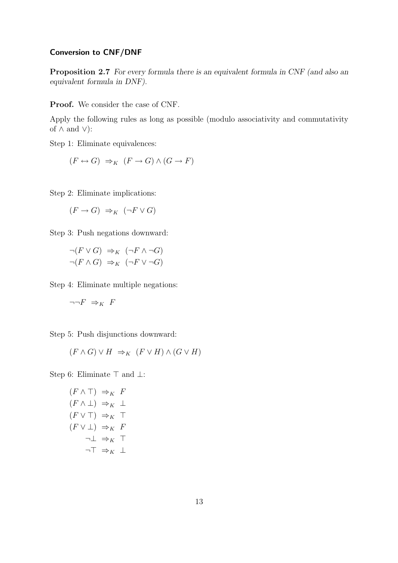#### Conversion to CNF/DNF

Proposition 2.7 *For every formula there is an equivalent formula in CNF (and also an equivalent formula in DNF).*

Proof. We consider the case of CNF.

Apply the following rules as long as possible (modulo associativity and commutativity of  $\land$  and  $\lor$ ):

Step 1: Eliminate equivalences:

$$
(F \leftrightarrow G) \Rightarrow_K (F \to G) \land (G \to F)
$$

Step 2: Eliminate implications:

$$
(F \to G) \Rightarrow_K (\neg F \lor G)
$$

Step 3: Push negations downward:

 $\neg (F \lor G) \Rightarrow_K (\neg F \land \neg G)$  $\neg(F \wedge G) \Rightarrow_K (\neg F \vee \neg G)$ 

Step 4: Eliminate multiple negations:

$$
\neg\neg F\;\Rightarrow_K\;F
$$

Step 5: Push disjunctions downward:

$$
(F \wedge G) \vee H \Rightarrow_K (F \vee H) \wedge (G \vee H)
$$

Step 6: Eliminate ⊤ and ⊥:

$$
(F \land \top) \Rightarrow_K F
$$
  
\n
$$
(F \land \bot) \Rightarrow_K \bot
$$
  
\n
$$
(F \lor \top) \Rightarrow_K \top
$$
  
\n
$$
(F \lor \bot) \Rightarrow_K F
$$
  
\n
$$
\neg \bot \Rightarrow_K \top
$$
  
\n
$$
\neg \top \Rightarrow_K \bot
$$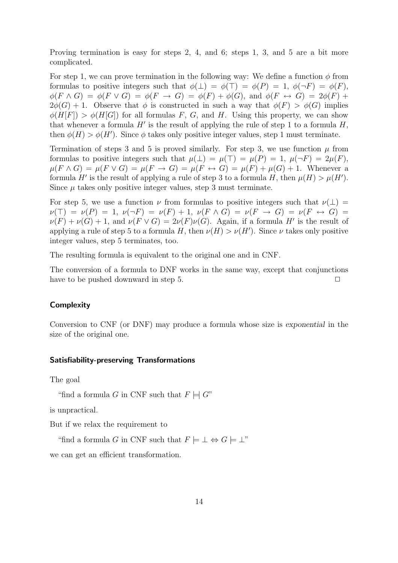Proving termination is easy for steps 2, 4, and 6; steps 1, 3, and 5 are a bit more complicated.

For step 1, we can prove termination in the following way: We define a function  $\phi$  from formulas to positive integers such that  $\phi(\perp) = \phi(\perp) = \phi(P) = 1$ ,  $\phi(\neg F) = \phi(F)$ ,  $\phi(F \wedge G) = \phi(F \vee G) = \phi(F \rightarrow G) = \phi(F) + \phi(G)$ , and  $\phi(F \leftrightarrow G) = 2\phi(F) +$  $2\phi(G) + 1$ . Observe that  $\phi$  is constructed in such a way that  $\phi(F) > \phi(G)$  implies  $\phi(H[F]) > \phi(H[G])$  for all formulas F, G, and H. Using this property, we can show that whenever a formula  $H'$  is the result of applying the rule of step 1 to a formula  $H$ , then  $\phi(H) > \phi(H')$ . Since  $\phi$  takes only positive integer values, step 1 must terminate.

Termination of steps 3 and 5 is proved similarly. For step 3, we use function  $\mu$  from formulas to positive integers such that  $\mu(\perp) = \mu(\perp) = \mu(P) = 1$ ,  $\mu(\neg F) = 2\mu(F)$ ,  $\mu(F \wedge G) = \mu(F \vee G) = \mu(F \rightarrow G) = \mu(F \leftrightarrow G) = \mu(F) + \mu(G) + 1$ . Whenever a formula H' is the result of applying a rule of step 3 to a formula H, then  $\mu(H) > \mu(H')$ . Since  $\mu$  takes only positive integer values, step 3 must terminate.

For step 5, we use a function  $\nu$  from formulas to positive integers such that  $\nu(\perp)$  =  $\nu(T) = \nu(P) = 1, \nu(\neg F) = \nu(F) + 1, \nu(F \wedge G) = \nu(F \rightarrow G) = \nu(F \leftrightarrow G) =$  $\nu(F) + \nu(G) + 1$ , and  $\nu(F \vee G) = 2\nu(F)\nu(G)$ . Again, if a formula H' is the result of applying a rule of step 5 to a formula H, then  $\nu(H) > \nu(H')$ . Since  $\nu$  takes only positive integer values, step 5 terminates, too.

The resulting formula is equivalent to the original one and in CNF.

The conversion of a formula to DNF works in the same way, except that conjunctions have to be pushed downward in step 5.  $\Box$ 

#### **Complexity**

Conversion to CNF (or DNF) may produce a formula whose size is *exponential* in the size of the original one.

#### Satisfiability-preserving Transformations

The goal

"find a formula G in CNF such that  $F \models G$ "

is unpractical.

But if we relax the requirement to

"find a formula G in CNF such that  $F \models \bot \Leftrightarrow G \models \bot$ "

we can get an efficient transformation.